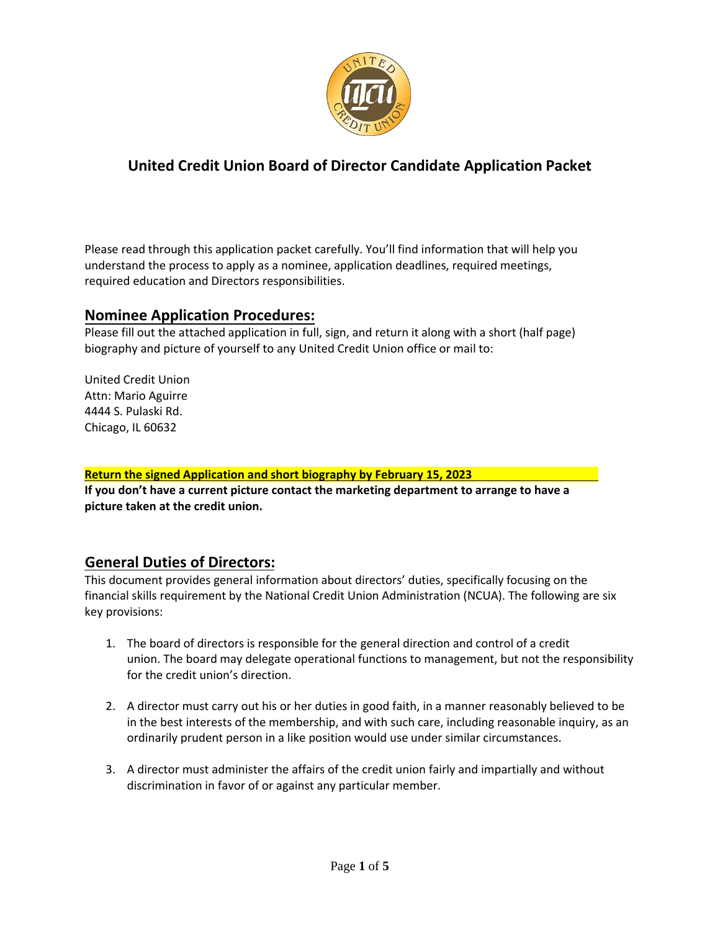

# **United Credit Union Board of Director Candidate Application Packet**

Please read through this application packet carefully. You'll find information that will help you understand the process to apply as a nominee, application deadlines, required meetings, required education and Directors responsibilities.

#### **Nominee Application Procedures:**

Please fill out the attached application in full, sign, and return it along with a short (half page) biography and picture of yourself to any United Credit Union office or mail to:

United Credit Union Attn: Mario Aguirre 4444 S. Pulaski Rd. Chicago, IL 60632

#### **Return the signed Application and short biography by February 15, 2023**

**If you don't have a current picture contact the marketing department to arrange to have a picture taken at the credit union.** 

#### **General Duties of Directors:**

This document provides general information about directors' duties, specifically focusing on the financial skills requirement by the National Credit Union Administration (NCUA). The following are six key provisions:

- 1. The board of directors is responsible for the general direction and control of a credit union. The board may delegate operational functions to management, but not the responsibility for the credit union's direction.
- 2. A director must carry out his or her duties in good faith, in a manner reasonably believed to be in the best interests of the membership, and with such care, including reasonable inquiry, as an ordinarily prudent person in a like position would use under similar circumstances.
- 3. A director must administer the affairs of the credit union fairly and impartially and without discrimination in favor of or against any particular member.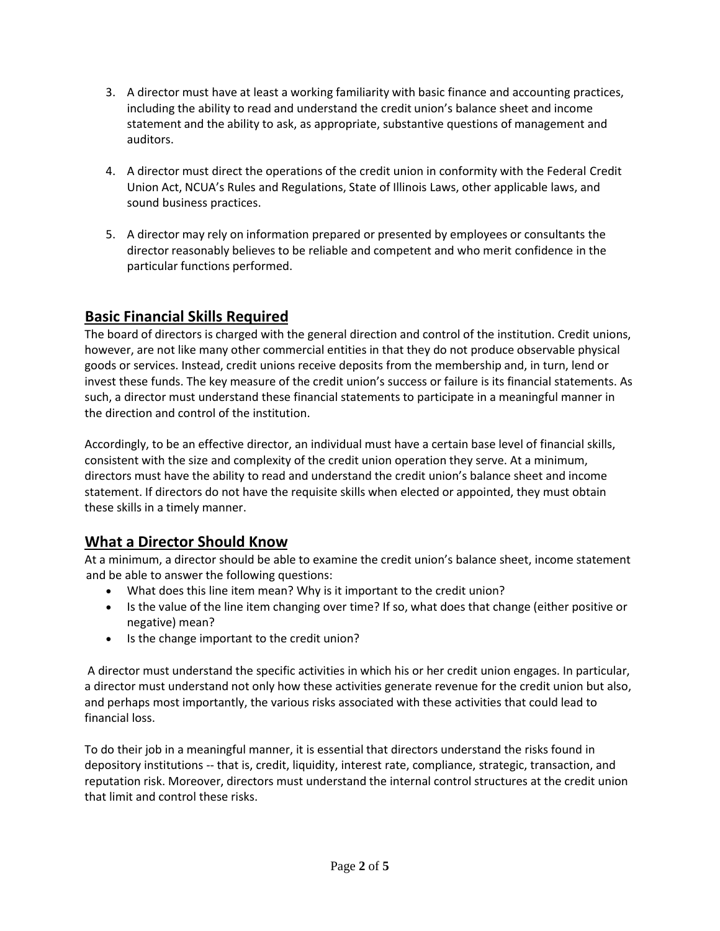- 3. A director must have at least a working familiarity with basic finance and accounting practices, including the ability to read and understand the credit union's balance sheet and income statement and the ability to ask, as appropriate, substantive questions of management and auditors.
- 4. A director must direct the operations of the credit union in conformity with the Federal Credit Union Act, NCUA's Rules and Regulations, State of Illinois Laws, other applicable laws, and sound business practices.
- 5. A director may rely on information prepared or presented by employees or consultants the director reasonably believes to be reliable and competent and who merit confidence in the particular functions performed.

# **Basic Financial Skills Required**

The board of directors is charged with the general direction and control of the institution. Credit unions, however, are not like many other commercial entities in that they do not produce observable physical goods or services. Instead, credit unions receive deposits from the membership and, in turn, lend or invest these funds. The key measure of the credit union's success or failure is its financial statements. As such, a director must understand these financial statements to participate in a meaningful manner in the direction and control of the institution.

Accordingly, to be an effective director, an individual must have a certain base level of financial skills, consistent with the size and complexity of the credit union operation they serve. At a minimum, directors must have the ability to read and understand the credit union's balance sheet and income statement. If directors do not have the requisite skills when elected or appointed, they must obtain these skills in a timely manner.

# **What a Director Should Know**

At a minimum, a director should be able to examine the credit union's balance sheet, income statement and be able to answer the following questions:

- What does this line item mean? Why is it important to the credit union?
- Is the value of the line item changing over time? If so, what does that change (either positive or negative) mean?
- Is the change important to the credit union?

A director must understand the specific activities in which his or her credit union engages. In particular, a director must understand not only how these activities generate revenue for the credit union but also, and perhaps most importantly, the various risks associated with these activities that could lead to financial loss.

To do their job in a meaningful manner, it is essential that directors understand the risks found in depository institutions -- that is, credit, liquidity, interest rate, compliance, strategic, transaction, and reputation risk. Moreover, directors must understand the internal control structures at the credit union that limit and control these risks.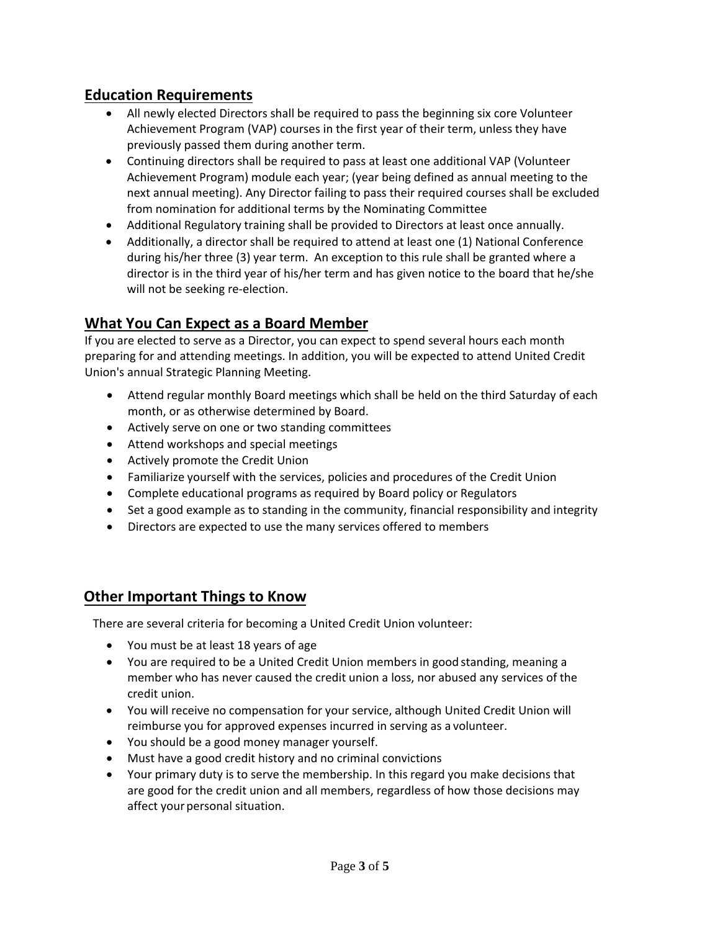#### **Education Requirements**

- All newly elected Directors shall be required to pass the beginning six core Volunteer Achievement Program (VAP) courses in the first year of their term, unless they have previously passed them during another term.
- Continuing directors shall be required to pass at least one additional VAP (Volunteer Achievement Program) module each year; (year being defined as annual meeting to the next annual meeting). Any Director failing to pass their required courses shall be excluded from nomination for additional terms by the Nominating Committee
- Additional Regulatory training shall be provided to Directors at least once annually.
- Additionally, a director shall be required to attend at least one (1) National Conference during his/her three (3) year term. An exception to this rule shall be granted where a director is in the third year of his/her term and has given notice to the board that he/she will not be seeking re-election.

# **What You Can Expect as a Board Member**

If you are elected to serve as a Director, you can expect to spend several hours each month preparing for and attending meetings. In addition, you will be expected to attend United Credit Union's annual Strategic Planning Meeting.

- Attend regular monthly Board meetings which shall be held on the third Saturday of each month, or as otherwise determined by Board.
- Actively serve on one or two standing committees
- Attend workshops and special meetings
- Actively promote the Credit Union
- Familiarize yourself with the services, policies and procedures of the Credit Union
- Complete educational programs as required by Board policy or Regulators
- Set a good example as to standing in the community, financial responsibility and integrity
- Directors are expected to use the many services offered to members

# **Other Important Things to Know**

There are several criteria for becoming a United Credit Union volunteer:

- You must be at least 18 years of age
- You are required to be a United Credit Union members in good standing, meaning a member who has never caused the credit union a loss, nor abused any services of the credit union.
- You will receive no compensation for your service, although United Credit Union will reimburse you for approved expenses incurred in serving as a volunteer.
- You should be a good money manager yourself.
- Must have a good credit history and no criminal convictions
- Your primary duty is to serve the membership. In this regard you make decisions that are good for the credit union and all members, regardless of how those decisions may affect your personal situation.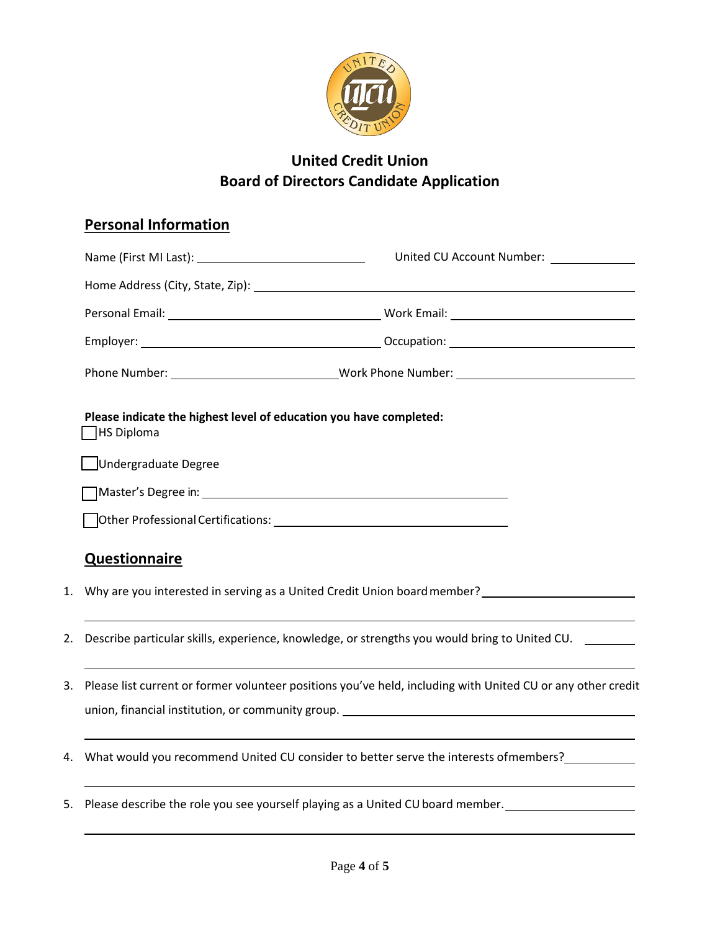

# **United Credit Union Board of Directors Candidate Application**

# **Personal Information**

|    |                                                                                                                | United CU Account Number: _____________                                                              |
|----|----------------------------------------------------------------------------------------------------------------|------------------------------------------------------------------------------------------------------|
|    |                                                                                                                |                                                                                                      |
|    |                                                                                                                |                                                                                                      |
|    |                                                                                                                |                                                                                                      |
|    |                                                                                                                | Phone Number: _________________________________Work Phone Number: __________________________________ |
|    | Please indicate the highest level of education you have completed:<br>HS Diploma                               |                                                                                                      |
|    | Undergraduate Degree                                                                                           |                                                                                                      |
|    |                                                                                                                |                                                                                                      |
|    |                                                                                                                |                                                                                                      |
|    | <b>Questionnaire</b>                                                                                           |                                                                                                      |
|    | 1. Why are you interested in serving as a United Credit Union board member?                                    |                                                                                                      |
| 2. | Describe particular skills, experience, knowledge, or strengths you would bring to United CU.                  |                                                                                                      |
|    | 3. Please list current or former volunteer positions you've held, including with United CU or any other credit |                                                                                                      |

- 4. What would you recommend United CU consider to better serve the interests ofmembers?\_\_\_\_\_\_\_\_\_\_\_\_
- 5. Please describe the role you see yourself playing as a United CU board member.